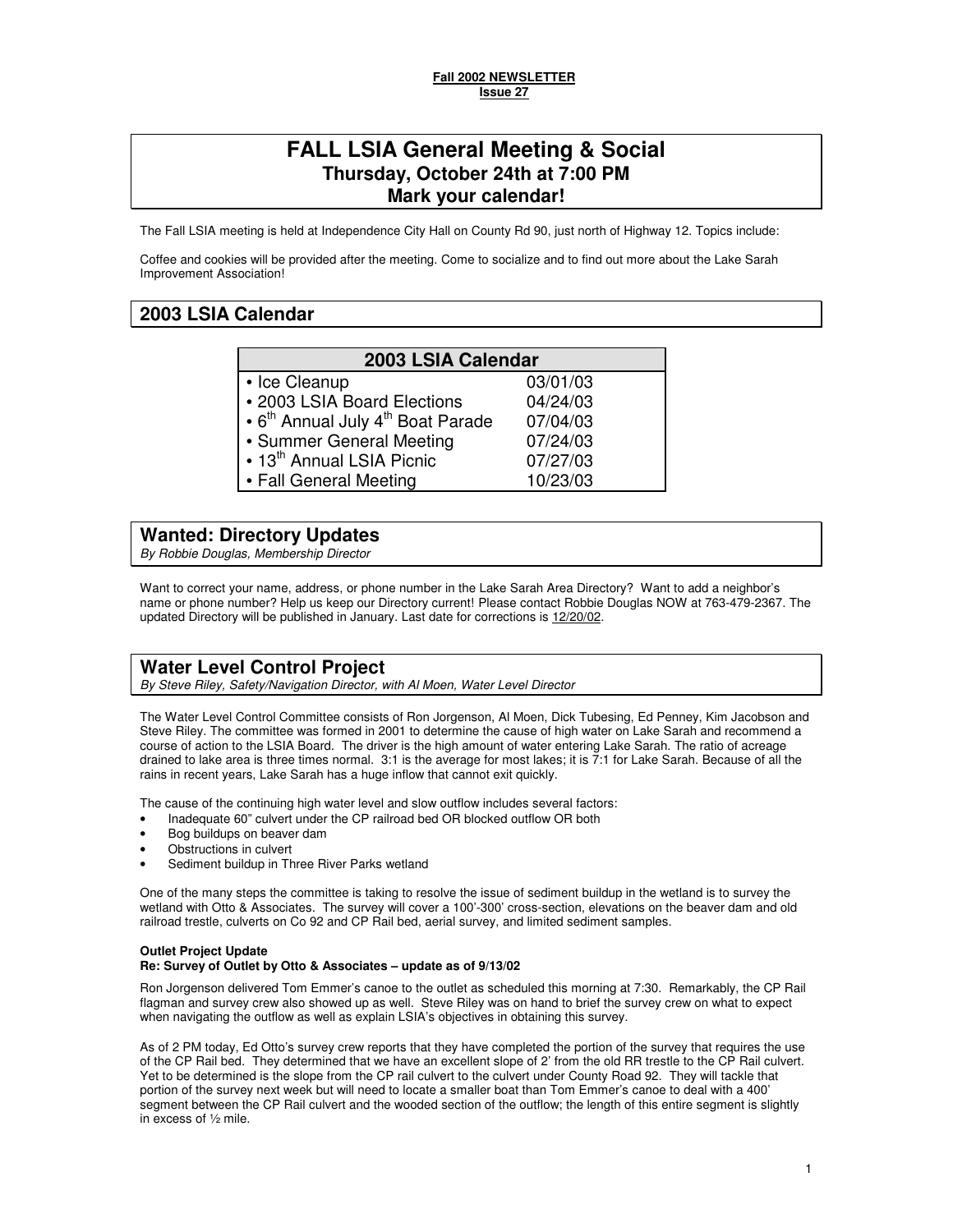03/01/03 04/24/03 07/04/03 07/24/03 07/27/03 10/23/03

# **FALL LSIA General Meeting & Social Thursday, October 24th at 7:00 PM Mark your calendar!**

The Fall LSIA meeting is held at Independence City Hall on County Rd 90, just north of Highway 12. Topics include:

Coffee and cookies will be provided after the meeting. Come to socialize and to find out more about the Lake Sarah Improvement Association!

# **2003 LSIA Calendar**

| 2003 LSIA Calendar |  |
|--------------------|--|
|--------------------|--|

- Ice Cleanup
- 2003 LSIA Board Elections
- $\cdot$  6<sup>th</sup> Annual July  $4^{\text{th}}$  Boat Parade
- Summer General Meeting
- $\cdot$  13<sup>th</sup> Annual LSIA Picnic
- Fall General Meeting

## **Wanted: Directory Updates**

By Robbie Douglas, Membership Director

Want to correct your name, address, or phone number in the Lake Sarah Area Directory? Want to add a neighbor's name or phone number? Help us keep our Directory current! Please contact Robbie Douglas NOW at 763-479-2367. The updated Directory will be published in January. Last date for corrections is 12/20/02.

# **Water Level Control Project**

By Steve Riley, Safety/Navigation Director, with Al Moen, Water Level Director

The Water Level Control Committee consists of Ron Jorgenson, Al Moen, Dick Tubesing, Ed Penney, Kim Jacobson and Steve Riley. The committee was formed in 2001 to determine the cause of high water on Lake Sarah and recommend a course of action to the LSIA Board. The driver is the high amount of water entering Lake Sarah. The ratio of acreage drained to lake area is three times normal. 3:1 is the average for most lakes; it is 7:1 for Lake Sarah. Because of all the rains in recent years, Lake Sarah has a huge inflow that cannot exit quickly.

The cause of the continuing high water level and slow outflow includes several factors:

- Inadequate 60" culvert under the CP railroad bed OR blocked outflow OR both
- Bog buildups on beaver dam
- Obstructions in culvert
- Sediment buildup in Three River Parks wetland

One of the many steps the committee is taking to resolve the issue of sediment buildup in the wetland is to survey the wetland with Otto & Associates. The survey will cover a 100'-300' cross-section, elevations on the beaver dam and old railroad trestle, culverts on Co 92 and CP Rail bed, aerial survey, and limited sediment samples.

# **Outlet Project Update**

### **Re: Survey of Outlet by Otto & Associates – update as of 9/13/02**

Ron Jorgenson delivered Tom Emmer's canoe to the outlet as scheduled this morning at 7:30. Remarkably, the CP Rail flagman and survey crew also showed up as well. Steve Riley was on hand to brief the survey crew on what to expect when navigating the outflow as well as explain LSIA's objectives in obtaining this survey.

As of 2 PM today, Ed Otto's survey crew reports that they have completed the portion of the survey that requires the use of the CP Rail bed. They determined that we have an excellent slope of 2' from the old RR trestle to the CP Rail culvert. Yet to be determined is the slope from the CP rail culvert to the culvert under County Road 92. They will tackle that portion of the survey next week but will need to locate a smaller boat than Tom Emmer's canoe to deal with a 400' segment between the CP Rail culvert and the wooded section of the outflow; the length of this entire segment is slightly in excess of ½ mile.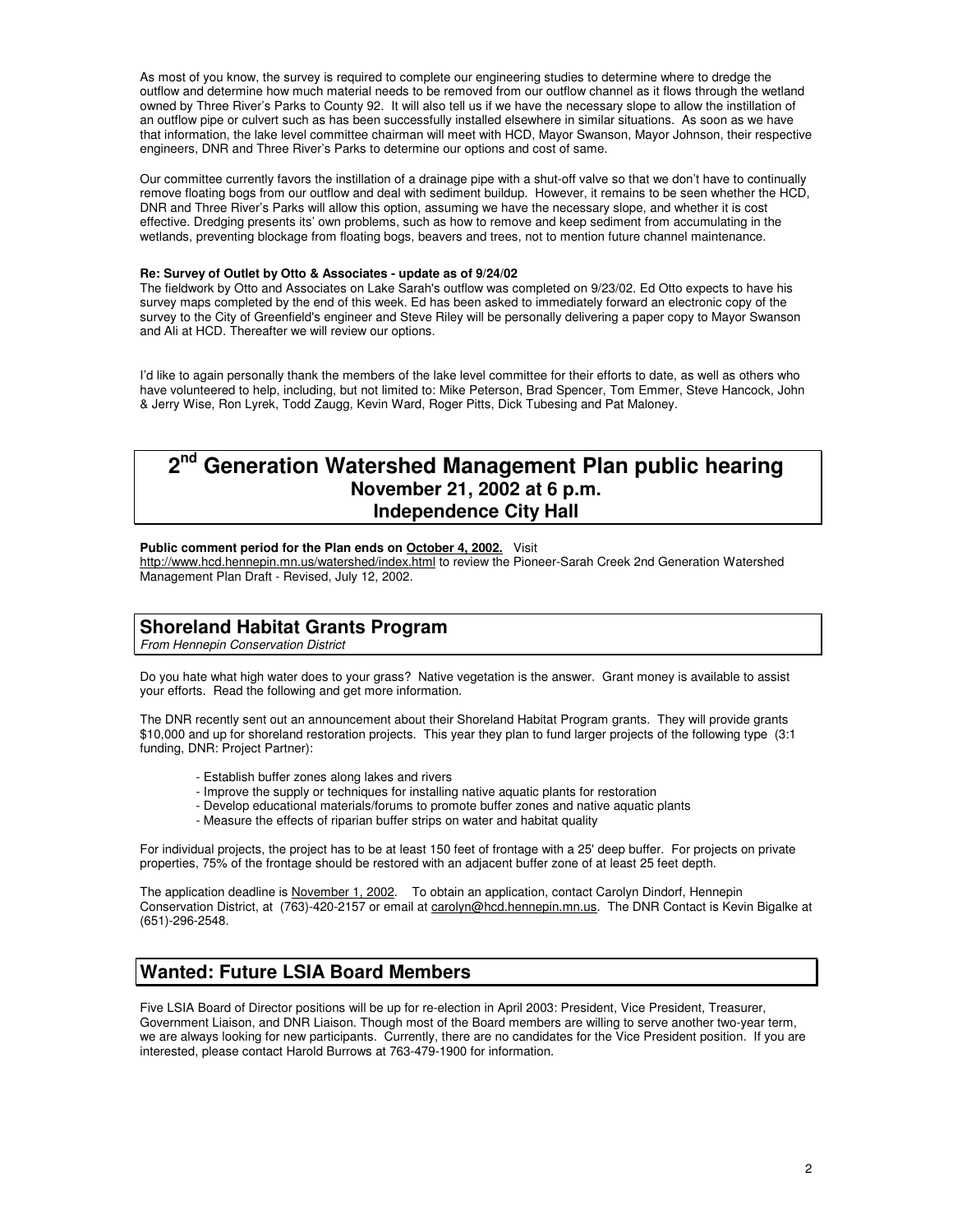As most of you know, the survey is required to complete our engineering studies to determine where to dredge the outflow and determine how much material needs to be removed from our outflow channel as it flows through the wetland owned by Three River's Parks to County 92. It will also tell us if we have the necessary slope to allow the instillation of an outflow pipe or culvert such as has been successfully installed elsewhere in similar situations. As soon as we have that information, the lake level committee chairman will meet with HCD, Mayor Swanson, Mayor Johnson, their respective engineers, DNR and Three River's Parks to determine our options and cost of same.

Our committee currently favors the instillation of a drainage pipe with a shut-off valve so that we don't have to continually remove floating bogs from our outflow and deal with sediment buildup. However, it remains to be seen whether the HCD, DNR and Three River's Parks will allow this option, assuming we have the necessary slope, and whether it is cost effective. Dredging presents its' own problems, such as how to remove and keep sediment from accumulating in the wetlands, preventing blockage from floating bogs, beavers and trees, not to mention future channel maintenance.

### **Re: Survey of Outlet by Otto & Associates - update as of 9/24/02**

The fieldwork by Otto and Associates on Lake Sarah's outflow was completed on 9/23/02. Ed Otto expects to have his survey maps completed by the end of this week. Ed has been asked to immediately forward an electronic copy of the survey to the City of Greenfield's engineer and Steve Riley will be personally delivering a paper copy to Mayor Swanson and Ali at HCD. Thereafter we will review our options.

I'd like to again personally thank the members of the lake level committee for their efforts to date, as well as others who have volunteered to help, including, but not limited to: Mike Peterson, Brad Spencer, Tom Emmer, Steve Hancock, John & Jerry Wise, Ron Lyrek, Todd Zaugg, Kevin Ward, Roger Pitts, Dick Tubesing and Pat Maloney.

### **2 Generation Watershed Management Plan public hearing November 21, 2002 at 6 p.m. Independence City Hall**

### **Public comment period for the Plan ends on October 4, 2002.** Visit

http://www.hcd.hennepin.mn.us/watershed/index.html to review the Pioneer-Sarah Creek 2nd Generation Watershed Management Plan Draft - Revised, July 12, 2002.

# **Shoreland Habitat Grants Program**

From Hennepin Conservation District

Do you hate what high water does to your grass? Native vegetation is the answer. Grant money is available to assist your efforts. Read the following and get more information.

The DNR recently sent out an announcement about their Shoreland Habitat Program grants. They will provide grants \$10,000 and up for shoreland restoration projects. This year they plan to fund larger projects of the following type (3:1 funding, DNR: Project Partner):

- Establish buffer zones along lakes and rivers
- Improve the supply or techniques for installing native aquatic plants for restoration
- Develop educational materials/forums to promote buffer zones and native aquatic plants
- Measure the effects of riparian buffer strips on water and habitat quality

For individual projects, the project has to be at least 150 feet of frontage with a 25' deep buffer. For projects on private properties, 75% of the frontage should be restored with an adjacent buffer zone of at least 25 feet depth.

The application deadline is November 1, 2002. To obtain an application, contact Carolyn Dindorf, Hennepin Conservation District, at (763)-420-2157 or email at carolyn@hcd.hennepin.mn.us. The DNR Contact is Kevin Bigalke at (651)-296-2548.

# **Wanted: Future LSIA Board Members**

Five LSIA Board of Director positions will be up for re-election in April 2003: President, Vice President, Treasurer, Government Liaison, and DNR Liaison. Though most of the Board members are willing to serve another two-year term, we are always looking for new participants. Currently, there are no candidates for the Vice President position. If you are interested, please contact Harold Burrows at 763-479-1900 for information.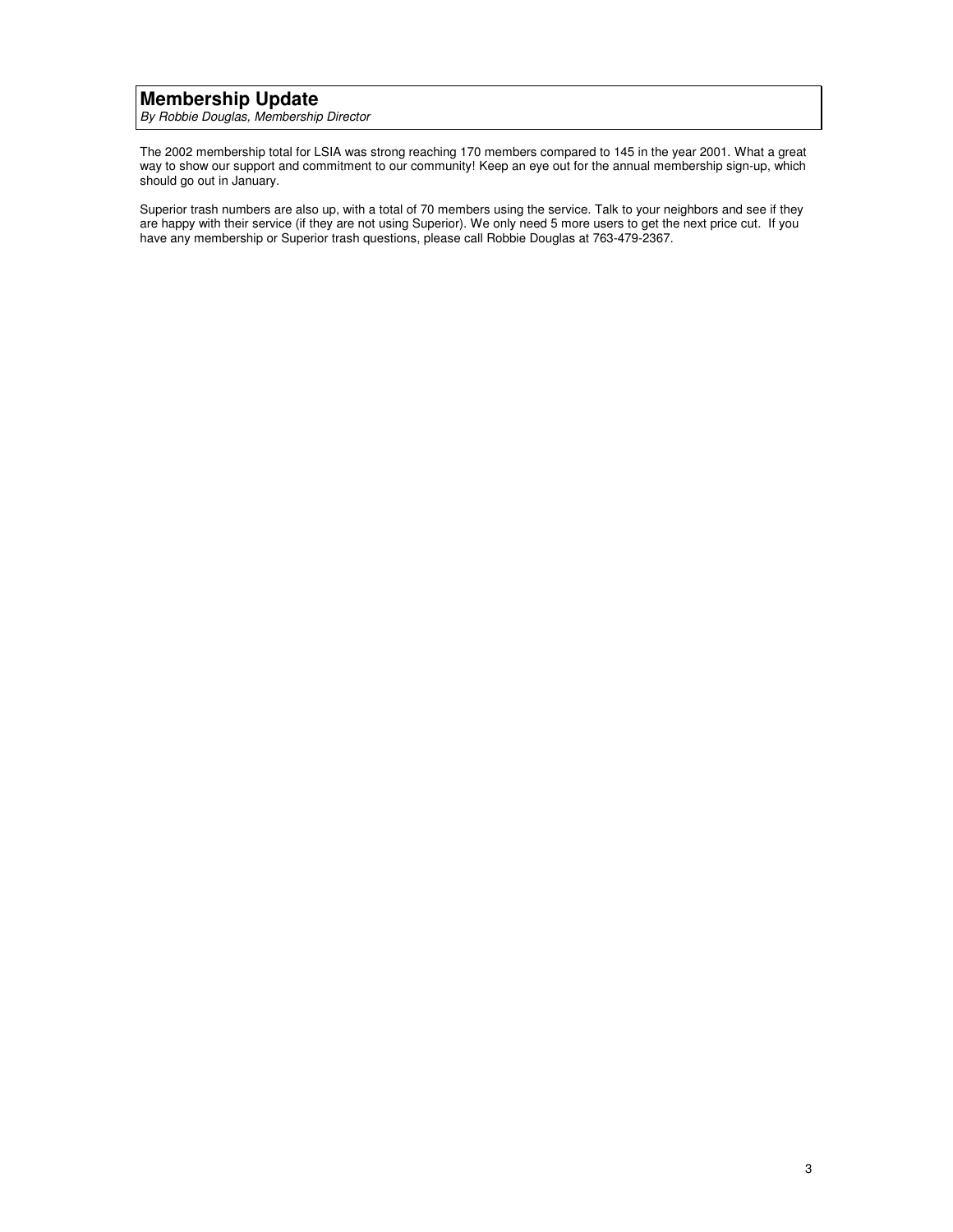# **Membership Update**

By Robbie Douglas, Membership Director

The 2002 membership total for LSIA was strong reaching 170 members compared to 145 in the year 2001. What a great way to show our support and commitment to our community! Keep an eye out for the annual membership sign-up, which should go out in January.

Superior trash numbers are also up, with a total of 70 members using the service. Talk to your neighbors and see if they are happy with their service (if they are not using Superior). We only need 5 more users to get the next price cut. If you have any membership or Superior trash questions, please call Robbie Douglas at 763-479-2367.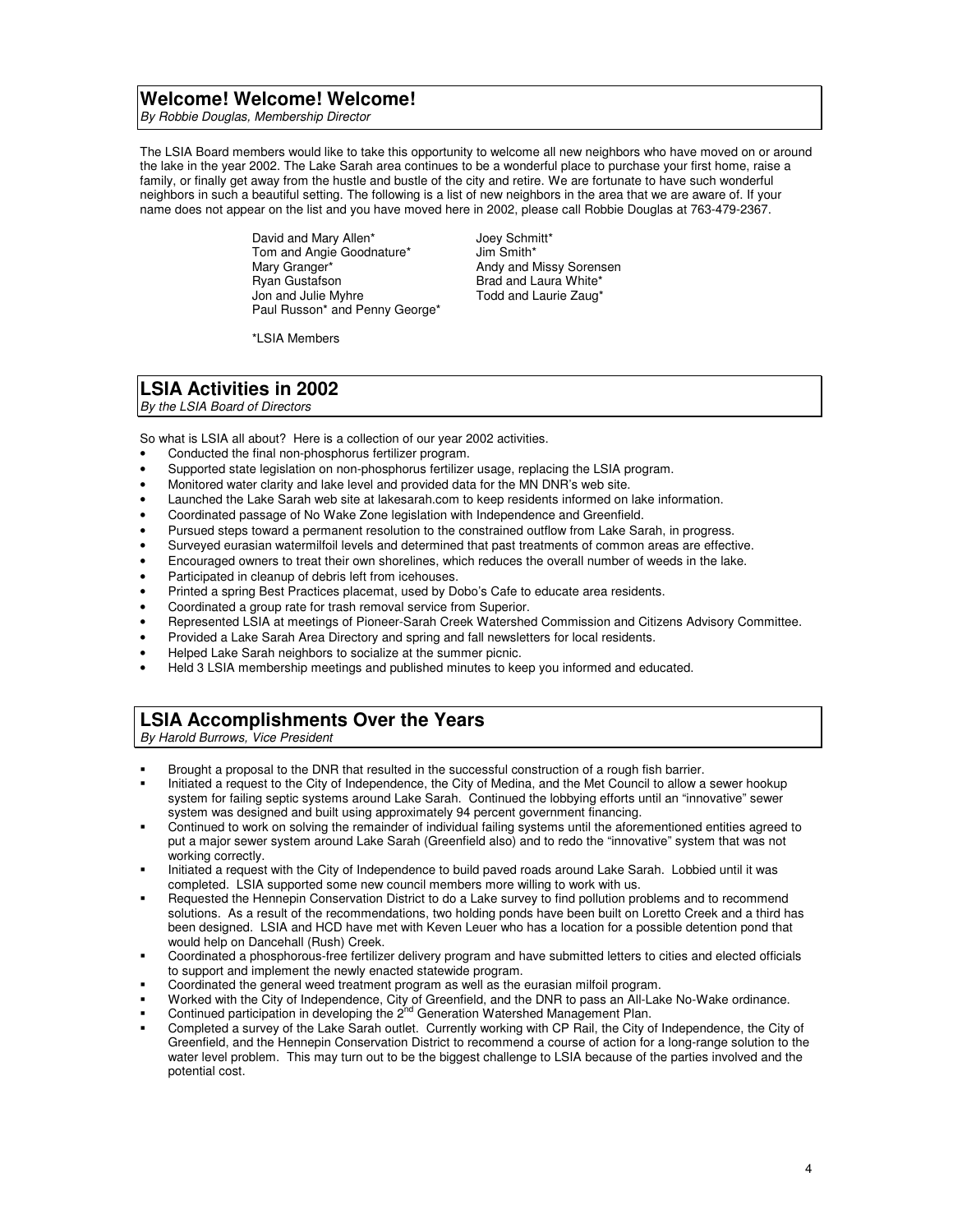### **Welcome! Welcome! Welcome!**

By Robbie Douglas, Membership Director

The LSIA Board members would like to take this opportunity to welcome all new neighbors who have moved on or around the lake in the year 2002. The Lake Sarah area continues to be a wonderful place to purchase your first home, raise a family, or finally get away from the hustle and bustle of the city and retire. We are fortunate to have such wonderful neighbors in such a beautiful setting. The following is a list of new neighbors in the area that we are aware of. If your name does not appear on the list and you have moved here in 2002, please call Robbie Douglas at 763-479-2367.

> David and Mary Allen<sup>\*</sup> Joey Schmitt\*<br>
> Tom and Angie Goodnature<sup>\*</sup> Jim Smith\* Tom and Angie Goodnature\*<br>Mary Granger\* Mary Granger\* **Andy and Missy Sorensen**<br>
> Ryan Gustafson **And And And And Laura White**\* Ryan Gustafson Brad and Laura White\* Paul Russon\* and Penny George\*

Todd and Laurie Zaug\*

\*LSIA Members

# **LSIA Activities in 2002**

By the LSIA Board of Directors

So what is LSIA all about? Here is a collection of our year 2002 activities.

- Conducted the final non-phosphorus fertilizer program.
- Supported state legislation on non-phosphorus fertilizer usage, replacing the LSIA program.
- Monitored water clarity and lake level and provided data for the MN DNR's web site.
- Launched the Lake Sarah web site at lakesarah.com to keep residents informed on lake information.
- Coordinated passage of No Wake Zone legislation with Independence and Greenfield.
- Pursued steps toward a permanent resolution to the constrained outflow from Lake Sarah, in progress.
- Surveyed eurasian watermilfoil levels and determined that past treatments of common areas are effective.
- Encouraged owners to treat their own shorelines, which reduces the overall number of weeds in the lake.
- Participated in cleanup of debris left from icehouses.
- Printed a spring Best Practices placemat, used by Dobo's Cafe to educate area residents.
- Coordinated a group rate for trash removal service from Superior.
- Represented LSIA at meetings of Pioneer-Sarah Creek Watershed Commission and Citizens Advisory Committee.
- Provided a Lake Sarah Area Directory and spring and fall newsletters for local residents.
- Helped Lake Sarah neighbors to socialize at the summer picnic.
- Held 3 LSIA membership meetings and published minutes to keep you informed and educated.

### **LSIA Accomplishments Over the Years**

By Harold Burrows, Vice President

- Brought a proposal to the DNR that resulted in the successful construction of a rough fish barrier.
- Initiated a request to the City of Independence, the City of Medina, and the Met Council to allow a sewer hookup system for failing septic systems around Lake Sarah. Continued the lobbying efforts until an "innovative" sewer system was designed and built using approximately 94 percent government financing.
- Continued to work on solving the remainder of individual failing systems until the aforementioned entities agreed to put a major sewer system around Lake Sarah (Greenfield also) and to redo the "innovative" system that was not working correctly.
- Initiated a request with the City of Independence to build paved roads around Lake Sarah. Lobbied until it was completed. LSIA supported some new council members more willing to work with us.
- Requested the Hennepin Conservation District to do a Lake survey to find pollution problems and to recommend solutions. As a result of the recommendations, two holding ponds have been built on Loretto Creek and a third has been designed. LSIA and HCD have met with Keven Leuer who has a location for a possible detention pond that would help on Dancehall (Rush) Creek.
- Coordinated a phosphorous-free fertilizer delivery program and have submitted letters to cities and elected officials to support and implement the newly enacted statewide program.
- Coordinated the general weed treatment program as well as the eurasian milfoil program.
- Worked with the City of Independence, City of Greenfield, and the DNR to pass an All-Lake No-Wake ordinance.
- Continued participation in developing the 2<sup>nd</sup> Generation Watershed Management Plan.
- Completed a survey of the Lake Sarah outlet. Currently working with CP Rail, the City of Independence, the City of Greenfield, and the Hennepin Conservation District to recommend a course of action for a long-range solution to the water level problem. This may turn out to be the biggest challenge to LSIA because of the parties involved and the potential cost.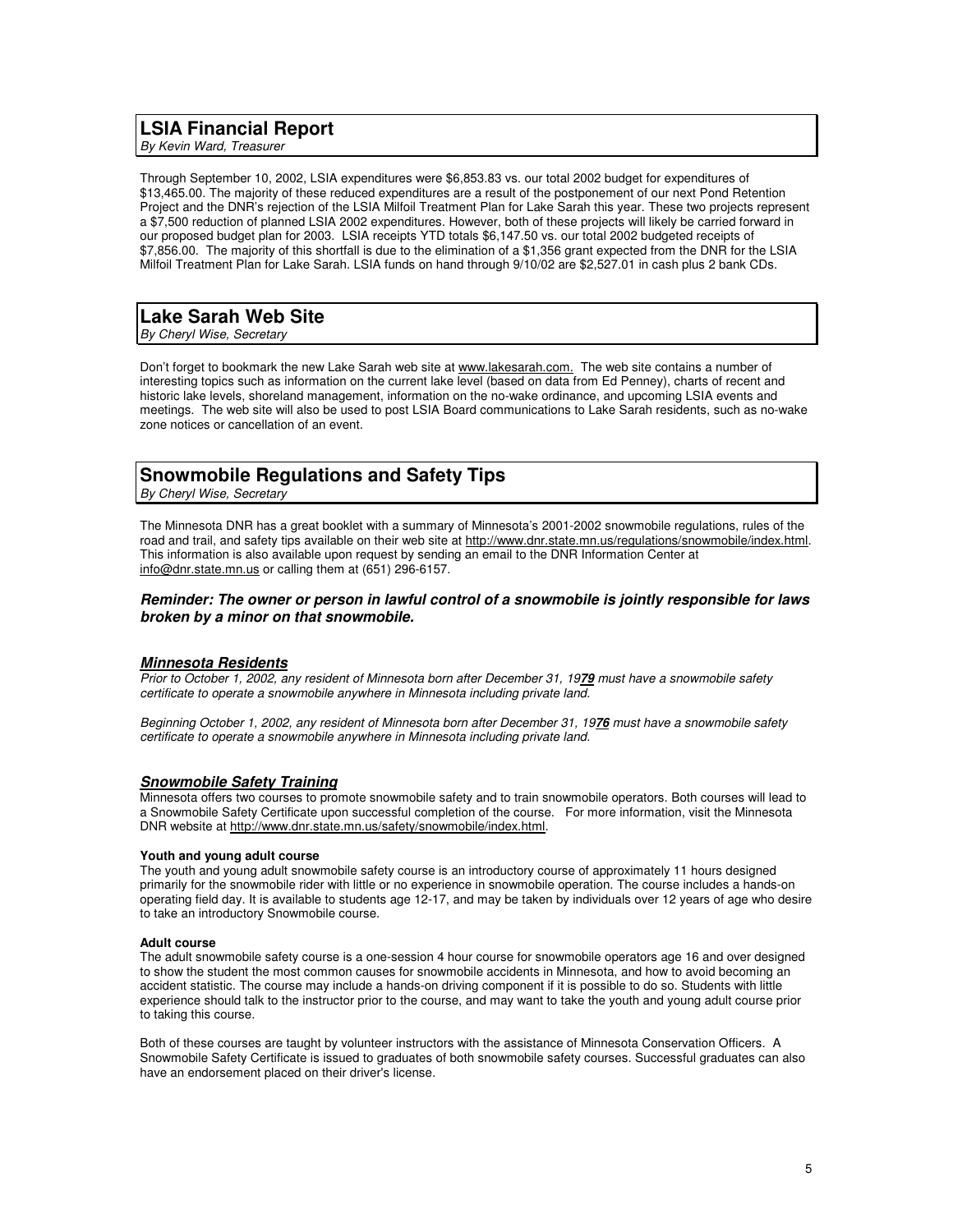### **LSIA Financial Report**

By Kevin Ward, Treasurer

Through September 10, 2002, LSIA expenditures were \$6,853.83 vs. our total 2002 budget for expenditures of \$13,465.00. The majority of these reduced expenditures are a result of the postponement of our next Pond Retention Project and the DNR's rejection of the LSIA Milfoil Treatment Plan for Lake Sarah this year. These two projects represent a \$7,500 reduction of planned LSIA 2002 expenditures. However, both of these projects will likely be carried forward in our proposed budget plan for 2003. LSIA receipts YTD totals \$6,147.50 vs. our total 2002 budgeted receipts of \$7,856.00. The majority of this shortfall is due to the elimination of a \$1,356 grant expected from the DNR for the LSIA Milfoil Treatment Plan for Lake Sarah. LSIA funds on hand through 9/10/02 are \$2,527.01 in cash plus 2 bank CDs.

### **Lake Sarah Web Site**

By Cheryl Wise, Secretary

Don't forget to bookmark the new Lake Sarah web site at www.lakesarah.com. The web site contains a number of interesting topics such as information on the current lake level (based on data from Ed Penney), charts of recent and historic lake levels, shoreland management, information on the no-wake ordinance, and upcoming LSIA events and meetings. The web site will also be used to post LSIA Board communications to Lake Sarah residents, such as no-wake zone notices or cancellation of an event.

## **Snowmobile Regulations and Safety Tips**

By Cheryl Wise, Secretary

The Minnesota DNR has a great booklet with a summary of Minnesota's 2001-2002 snowmobile regulations, rules of the road and trail, and safety tips available on their web site at http://www.dnr.state.mn.us/regulations/snowmobile/index.html. This information is also available upon request by sending an email to the DNR Information Center at info@dnr.state.mn.us or calling them at (651) 296-6157.

### **Reminder: The owner or person in lawful control of a snowmobile is jointly responsible for laws broken by a minor on that snowmobile.**

### **Minnesota Residents**

Prior to October 1, 2002, any resident of Minnesota born after December 31, 19**79** must have a snowmobile safety certificate to operate a snowmobile anywhere in Minnesota including private land.

Beginning October 1, 2002, any resident of Minnesota born after December 31, 19**76** must have a snowmobile safety certificate to operate a snowmobile anywhere in Minnesota including private land.

### **Snowmobile Safety Training**

Minnesota offers two courses to promote snowmobile safety and to train snowmobile operators. Both courses will lead to a Snowmobile Safety Certificate upon successful completion of the course. For more information, visit the Minnesota DNR website at http://www.dnr.state.mn.us/safety/snowmobile/index.html.

#### **Youth and young adult course**

The youth and young adult snowmobile safety course is an introductory course of approximately 11 hours designed primarily for the snowmobile rider with little or no experience in snowmobile operation. The course includes a hands-on operating field day. It is available to students age 12-17, and may be taken by individuals over 12 years of age who desire to take an introductory Snowmobile course.

#### **Adult course**

The adult snowmobile safety course is a one-session 4 hour course for snowmobile operators age 16 and over designed to show the student the most common causes for snowmobile accidents in Minnesota, and how to avoid becoming an accident statistic. The course may include a hands-on driving component if it is possible to do so. Students with little experience should talk to the instructor prior to the course, and may want to take the youth and young adult course prior to taking this course.

Both of these courses are taught by volunteer instructors with the assistance of Minnesota Conservation Officers. A Snowmobile Safety Certificate is issued to graduates of both snowmobile safety courses. Successful graduates can also have an endorsement placed on their driver's license.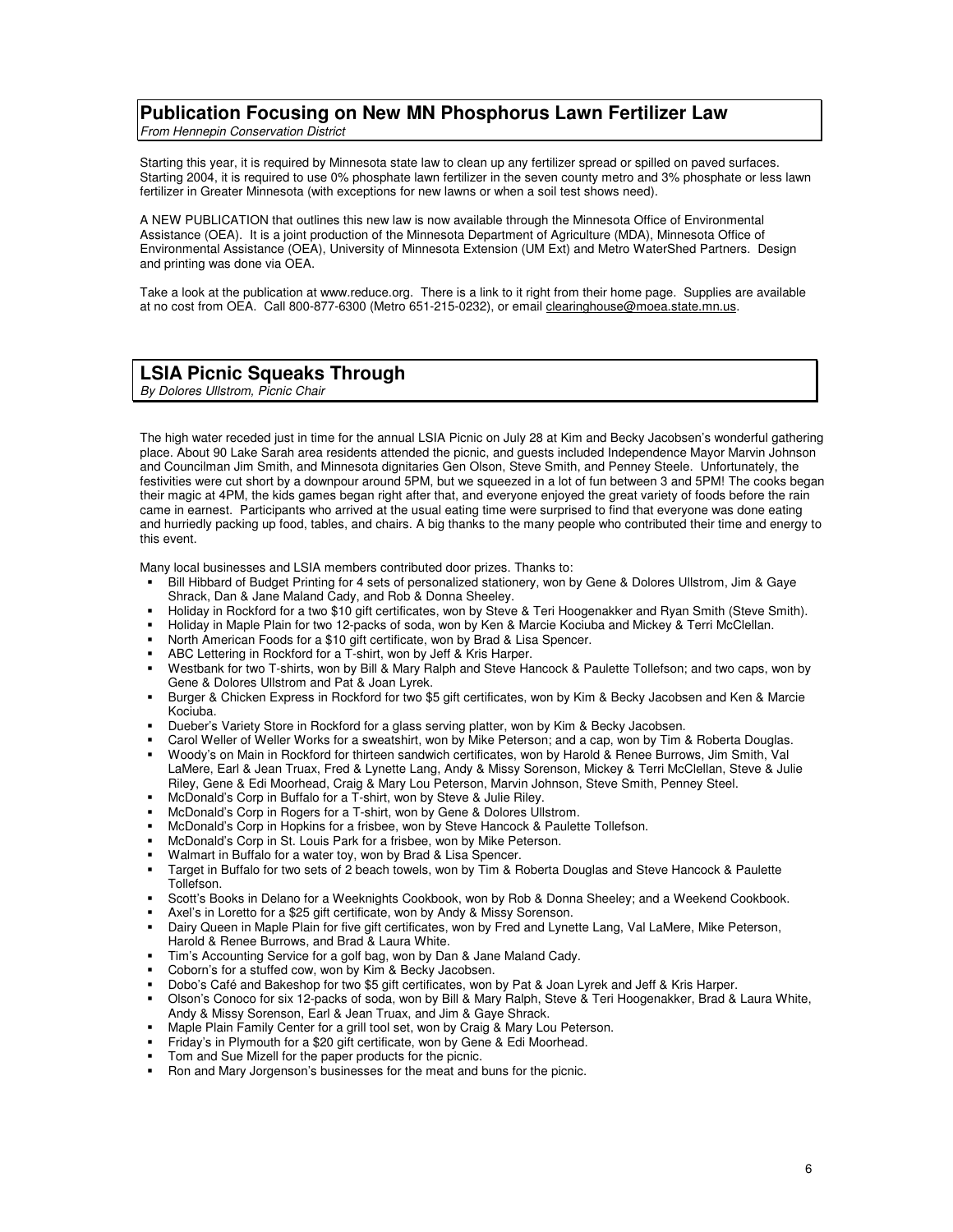## **Publication Focusing on New MN Phosphorus Lawn Fertilizer Law**

From Hennepin Conservation District

Starting this year, it is required by Minnesota state law to clean up any fertilizer spread or spilled on paved surfaces. Starting 2004, it is required to use 0% phosphate lawn fertilizer in the seven county metro and 3% phosphate or less lawn fertilizer in Greater Minnesota (with exceptions for new lawns or when a soil test shows need).

A NEW PUBLICATION that outlines this new law is now available through the Minnesota Office of Environmental Assistance (OEA). It is a joint production of the Minnesota Department of Agriculture (MDA), Minnesota Office of Environmental Assistance (OEA), University of Minnesota Extension (UM Ext) and Metro WaterShed Partners. Design and printing was done via OEA.

Take a look at the publication at www.reduce.org. There is a link to it right from their home page. Supplies are available at no cost from OEA. Call 800-877-6300 (Metro 651-215-0232), or email clearinghouse@moea.state.mn.us.

## **LSIA Picnic Squeaks Through**

By Dolores Ullstrom, Picnic Chair

The high water receded just in time for the annual LSIA Picnic on July 28 at Kim and Becky Jacobsen's wonderful gathering place. About 90 Lake Sarah area residents attended the picnic, and guests included Independence Mayor Marvin Johnson and Councilman Jim Smith, and Minnesota dignitaries Gen Olson, Steve Smith, and Penney Steele. Unfortunately, the festivities were cut short by a downpour around 5PM, but we squeezed in a lot of fun between 3 and 5PM! The cooks began their magic at 4PM, the kids games began right after that, and everyone enjoyed the great variety of foods before the rain came in earnest. Participants who arrived at the usual eating time were surprised to find that everyone was done eating and hurriedly packing up food, tables, and chairs. A big thanks to the many people who contributed their time and energy to this event.

Many local businesses and LSIA members contributed door prizes. Thanks to:

- Bill Hibbard of Budget Printing for 4 sets of personalized stationery, won by Gene & Dolores Ullstrom, Jim & Gaye Shrack, Dan & Jane Maland Cady, and Rob & Donna Sheeley.
- Holiday in Rockford for a two \$10 gift certificates, won by Steve & Teri Hoogenakker and Ryan Smith (Steve Smith).
- Holiday in Maple Plain for two 12-packs of soda, won by Ken & Marcie Kociuba and Mickey & Terri McClellan.
- North American Foods for a \$10 gift certificate, won by Brad & Lisa Spencer.
- ABC Lettering in Rockford for a T-shirt, won by Jeff & Kris Harper.
- Westbank for two T-shirts, won by Bill & Mary Ralph and Steve Hancock & Paulette Tollefson; and two caps, won by Gene & Dolores Ullstrom and Pat & Joan Lyrek.
- Burger & Chicken Express in Rockford for two \$5 gift certificates, won by Kim & Becky Jacobsen and Ken & Marcie Kociuba.
- Dueber's Variety Store in Rockford for a glass serving platter, won by Kim & Becky Jacobsen.
- Carol Weller of Weller Works for a sweatshirt, won by Mike Peterson; and a cap, won by Tim & Roberta Douglas.
- Woody's on Main in Rockford for thirteen sandwich certificates, won by Harold & Renee Burrows, Jim Smith, Val LaMere, Earl & Jean Truax, Fred & Lynette Lang, Andy & Missy Sorenson, Mickey & Terri McClellan, Steve & Julie Riley, Gene & Edi Moorhead, Craig & Mary Lou Peterson, Marvin Johnson, Steve Smith, Penney Steel.
- McDonald's Corp in Buffalo for a T-shirt, won by Steve & Julie Riley.
- McDonald's Corp in Rogers for a T-shirt, won by Gene & Dolores Ullstrom.
- McDonald's Corp in Hopkins for a frisbee, won by Steve Hancock & Paulette Tollefson.
- McDonald's Corp in St. Louis Park for a frisbee, won by Mike Peterson.
- Walmart in Buffalo for a water toy, won by Brad & Lisa Spencer.
- Target in Buffalo for two sets of 2 beach towels, won by Tim & Roberta Douglas and Steve Hancock & Paulette Tollefson.
- Scott's Books in Delano for a Weeknights Cookbook, won by Rob & Donna Sheeley; and a Weekend Cookbook.
- Axel's in Loretto for a \$25 gift certificate, won by Andy & Missy Sorenson.
- Dairy Queen in Maple Plain for five gift certificates, won by Fred and Lynette Lang, Val LaMere, Mike Peterson, Harold & Renee Burrows, and Brad & Laura White.
- Tim's Accounting Service for a golf bag, won by Dan & Jane Maland Cady.
- Coborn's for a stuffed cow, won by Kim & Becky Jacobsen.
- Dobo's Café and Bakeshop for two \$5 gift certificates, won by Pat & Joan Lyrek and Jeff & Kris Harper.
- Olson's Conoco for six 12-packs of soda, won by Bill & Mary Ralph, Steve & Teri Hoogenakker, Brad & Laura White, Andy & Missy Sorenson, Earl & Jean Truax, and Jim & Gaye Shrack.
- Maple Plain Family Center for a grill tool set, won by Craig & Mary Lou Peterson.
- Friday's in Plymouth for a \$20 gift certificate, won by Gene & Edi Moorhead.
- Tom and Sue Mizell for the paper products for the picnic.
- Ron and Mary Jorgenson's businesses for the meat and buns for the picnic.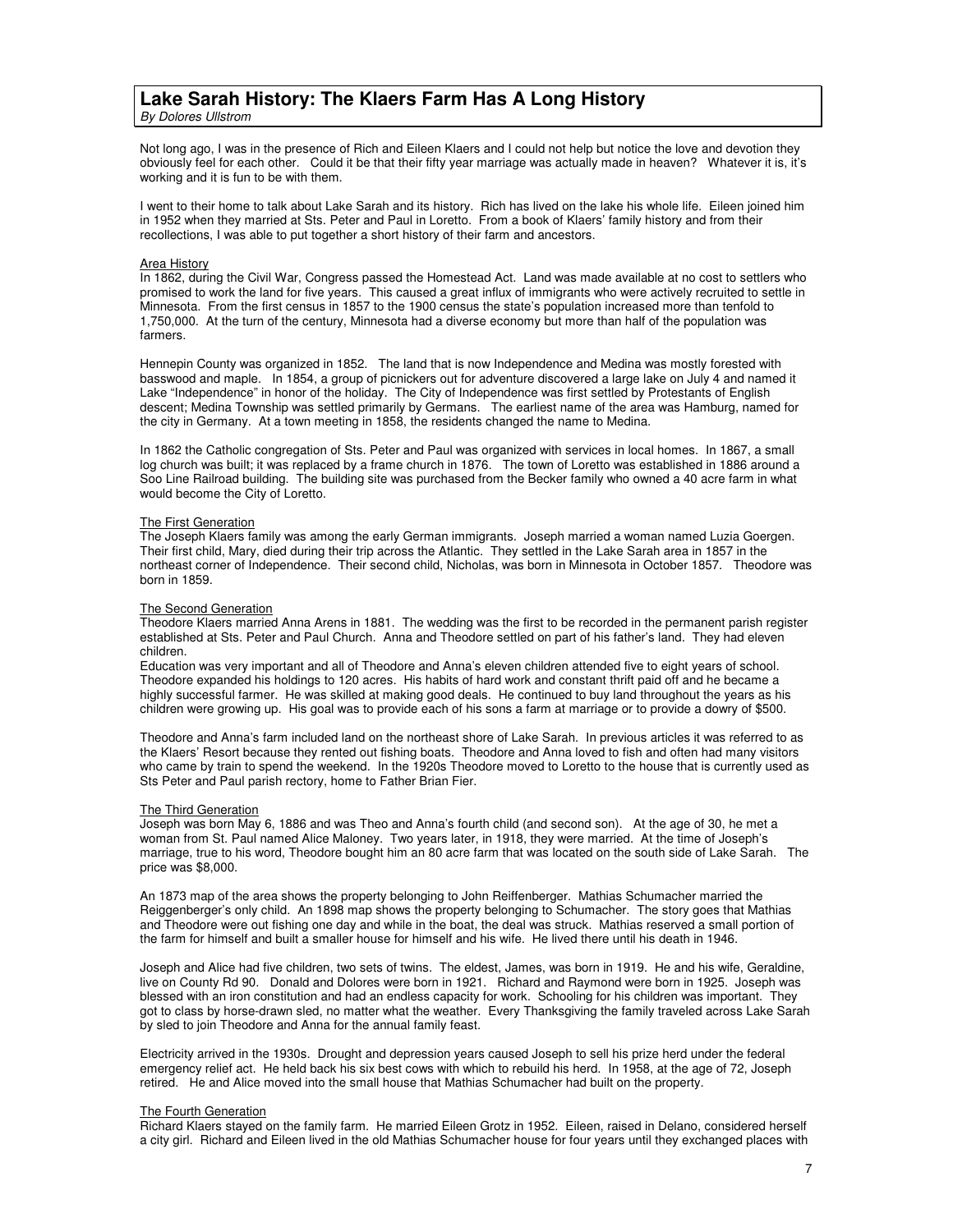### **Lake Sarah History: The Klaers Farm Has A Long History**  By Dolores Ullstrom

Not long ago, I was in the presence of Rich and Eileen Klaers and I could not help but notice the love and devotion they obviously feel for each other. Could it be that their fifty year marriage was actually made in heaven? Whatever it is, it's working and it is fun to be with them.

I went to their home to talk about Lake Sarah and its history. Rich has lived on the lake his whole life. Eileen joined him in 1952 when they married at Sts. Peter and Paul in Loretto. From a book of Klaers' family history and from their recollections, I was able to put together a short history of their farm and ancestors.

#### Area History

In 1862, during the Civil War, Congress passed the Homestead Act. Land was made available at no cost to settlers who promised to work the land for five years. This caused a great influx of immigrants who were actively recruited to settle in Minnesota. From the first census in 1857 to the 1900 census the state's population increased more than tenfold to 1,750,000. At the turn of the century, Minnesota had a diverse economy but more than half of the population was farmers.

Hennepin County was organized in 1852. The land that is now Independence and Medina was mostly forested with basswood and maple. In 1854, a group of picnickers out for adventure discovered a large lake on July 4 and named it Lake "Independence" in honor of the holiday. The City of Independence was first settled by Protestants of English descent; Medina Township was settled primarily by Germans. The earliest name of the area was Hamburg, named for the city in Germany. At a town meeting in 1858, the residents changed the name to Medina.

In 1862 the Catholic congregation of Sts. Peter and Paul was organized with services in local homes. In 1867, a small log church was built; it was replaced by a frame church in 1876. The town of Loretto was established in 1886 around a Soo Line Railroad building. The building site was purchased from the Becker family who owned a 40 acre farm in what would become the City of Loretto.

#### The First Generation

The Joseph Klaers family was among the early German immigrants. Joseph married a woman named Luzia Goergen. Their first child, Mary, died during their trip across the Atlantic. They settled in the Lake Sarah area in 1857 in the northeast corner of Independence. Their second child, Nicholas, was born in Minnesota in October 1857. Theodore was born in 1859.

### The Second Generation

Theodore Klaers married Anna Arens in 1881. The wedding was the first to be recorded in the permanent parish register established at Sts. Peter and Paul Church. Anna and Theodore settled on part of his father's land. They had eleven children.

Education was very important and all of Theodore and Anna's eleven children attended five to eight years of school. Theodore expanded his holdings to 120 acres. His habits of hard work and constant thrift paid off and he became a highly successful farmer. He was skilled at making good deals. He continued to buy land throughout the years as his children were growing up. His goal was to provide each of his sons a farm at marriage or to provide a dowry of \$500.

Theodore and Anna's farm included land on the northeast shore of Lake Sarah. In previous articles it was referred to as the Klaers' Resort because they rented out fishing boats. Theodore and Anna loved to fish and often had many visitors who came by train to spend the weekend. In the 1920s Theodore moved to Loretto to the house that is currently used as Sts Peter and Paul parish rectory, home to Father Brian Fier.

#### The Third Generation

Joseph was born May 6, 1886 and was Theo and Anna's fourth child (and second son). At the age of 30, he met a woman from St. Paul named Alice Maloney. Two years later, in 1918, they were married. At the time of Joseph's marriage, true to his word, Theodore bought him an 80 acre farm that was located on the south side of Lake Sarah. The price was \$8,000.

An 1873 map of the area shows the property belonging to John Reiffenberger. Mathias Schumacher married the Reiggenberger's only child. An 1898 map shows the property belonging to Schumacher. The story goes that Mathias and Theodore were out fishing one day and while in the boat, the deal was struck. Mathias reserved a small portion of the farm for himself and built a smaller house for himself and his wife. He lived there until his death in 1946.

Joseph and Alice had five children, two sets of twins. The eldest, James, was born in 1919. He and his wife, Geraldine, live on County Rd 90. Donald and Dolores were born in 1921. Richard and Raymond were born in 1925. Joseph was blessed with an iron constitution and had an endless capacity for work. Schooling for his children was important. They got to class by horse-drawn sled, no matter what the weather. Every Thanksgiving the family traveled across Lake Sarah by sled to join Theodore and Anna for the annual family feast.

Electricity arrived in the 1930s. Drought and depression years caused Joseph to sell his prize herd under the federal emergency relief act. He held back his six best cows with which to rebuild his herd. In 1958, at the age of 72, Joseph retired. He and Alice moved into the small house that Mathias Schumacher had built on the property.

#### The Fourth Generation

Richard Klaers stayed on the family farm. He married Eileen Grotz in 1952. Eileen, raised in Delano, considered herself a city girl. Richard and Eileen lived in the old Mathias Schumacher house for four years until they exchanged places with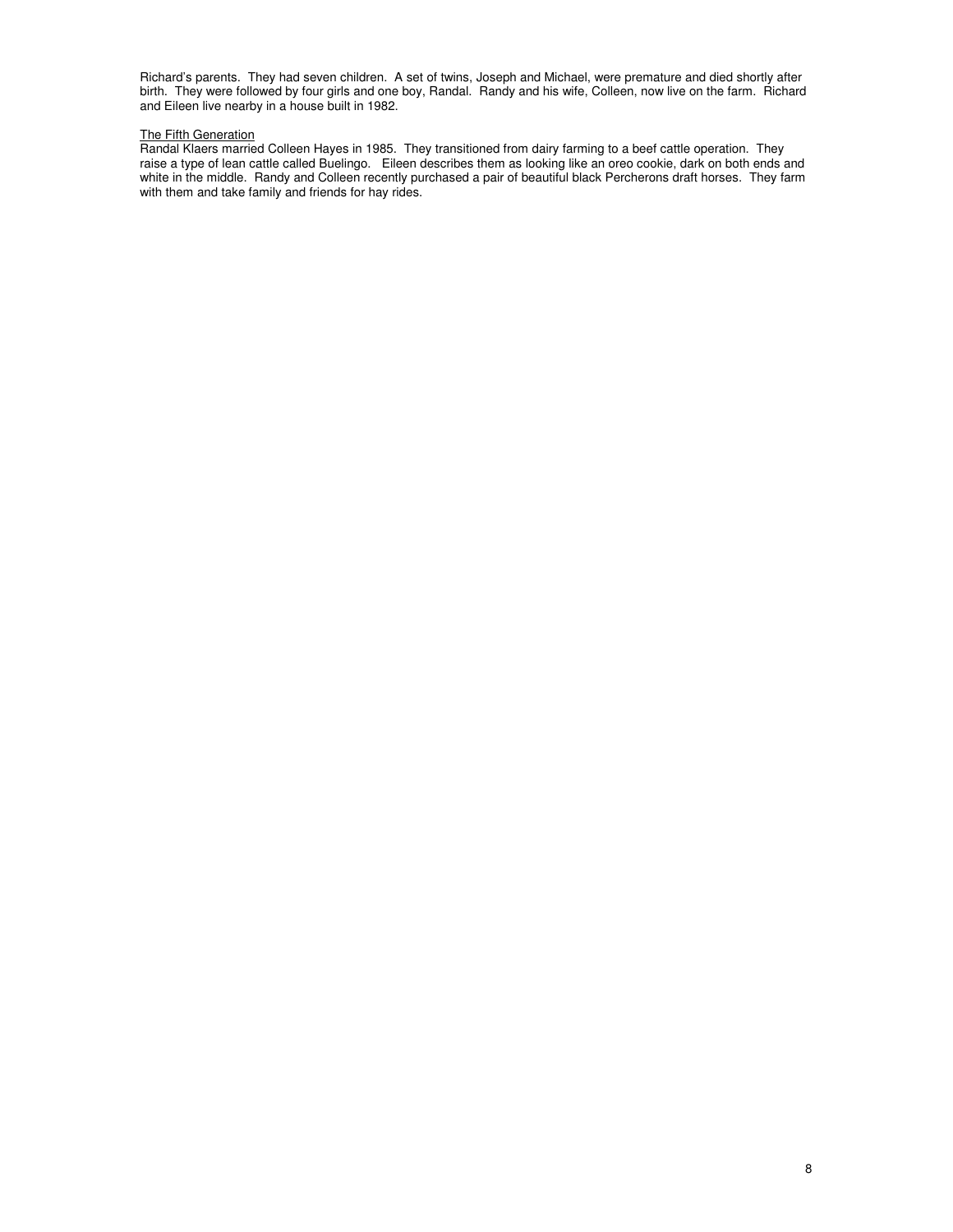Richard's parents. They had seven children. A set of twins, Joseph and Michael, were premature and died shortly after birth. They were followed by four girls and one boy, Randal. Randy and his wife, Colleen, now live on the farm. Richard and Eileen live nearby in a house built in 1982.

### The Fifth Generation

Randal Klaers married Colleen Hayes in 1985. They transitioned from dairy farming to a beef cattle operation. They raise a type of lean cattle called Buelingo. Eileen describes them as looking like an oreo cookie, dark on both ends and white in the middle. Randy and Colleen recently purchased a pair of beautiful black Percherons draft horses. They farm with them and take family and friends for hay rides.